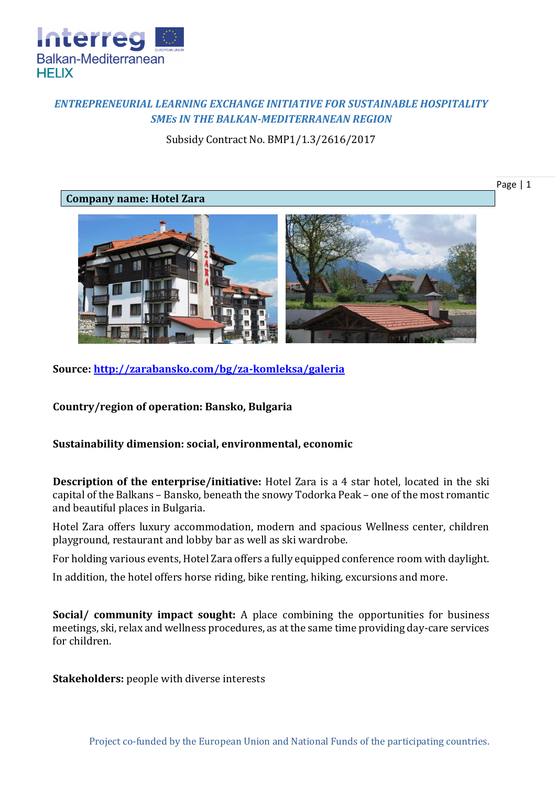

## *ENTREPRENEURIAL LEARNING EXCHANGE INITIATIVE FOR SUSTAINABLE HOSPITALITY SMEs IN THE BALKAN-MEDITERRANEAN REGION*

Subsidy Contract No. BMP1/1.3/2616/2017

## **Company name: Hotel Zara**





**Source:<http://zarabansko.com/bg/za-komleksa/galeria>**

**Country/region of operation: Bansko, Bulgaria**

## **Sustainability dimension: social, environmental, economic**

**Description of the enterprise/initiative:** Hotel Zara is a 4 star hotel, located in the ski capital of the Balkans – Bansko, beneath the snowy Todorka Peak – one of the most romantic and beautiful places in Bulgaria.

Hotel Zara offers luxury accommodation, modern and spacious Wellness center, children playground, restaurant and lobby bar as well as ski wardrobe.

For holding various events, Hotel Zara offers a fully equipped conference room with daylight.

In addition, the hotel offers horse riding, bike renting, hiking, excursions and more.

**Social/ community impact sought:** A place combining the opportunities for business meetings, ski, relax and wellness procedures, as at the same time providing day-care services for children.

**Stakeholders:** people with diverse interests